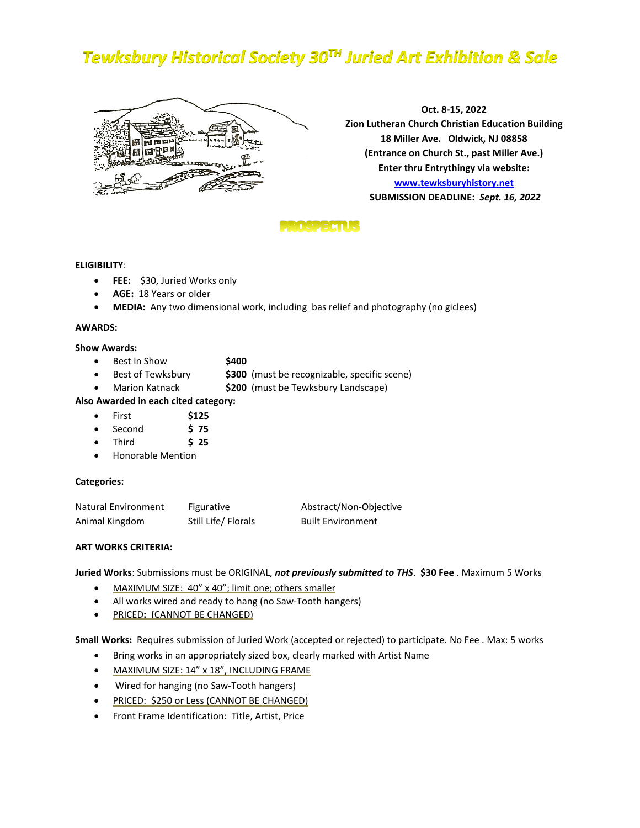# **Tewksbury Historical Society 30TH Juried Art Exhibition & Sale**



**Oct. 8-15, 2022 Zion Lutheran Church Christian Education Building 18 Miller Ave. Oldwick, NJ 08858 (Entrance on Church St., past Miller Ave.) Enter thru Entrythingy via website: [www.tewksburyhistory.net](http://www.tewksburyhistory.net/) SUBMISSION DEADLINE:** *Sept. 16, 2022*

## **PROSPECTUS**

## **ELIGIBILITY**:

- **FEE:** \$30, Juried Works only
- **AGE:** 18 Years or older
- **MEDIA:** Any two dimensional work, including bas relief and photography (no giclees)

## **AWARDS:**

## **Show Awards:**

- Best in Show **\$400**
- Best of Tewksbury **\$300** (must be recognizable, specific scene)
- Marion Katnack **\$200** (must be Tewksbury Landscape)

## **Also Awarded in each cited category:**

- First **\$125**
- Second **\$ 75**
- Third **\$ 25**
- Honorable Mention

## **Categories:**

| Natural Environment | Figurative          | Abstract/Non-Objective   |
|---------------------|---------------------|--------------------------|
| Animal Kingdom      | Still Life/ Florals | <b>Built Environment</b> |

## **ART WORKS CRITERIA:**

**Juried Works**: Submissions must be ORIGINAL, *not previously submitted to THS*. **\$30 Fee** . Maximum 5 Works

- MAXIMUM SIZE: 40" x 40"; limit one; others smaller
- All works wired and ready to hang (no Saw-Tooth hangers)
- PRICED**: (**CANNOT BE CHANGED)

**Small Works:** Requires submission of Juried Work (accepted or rejected) to participate. No Fee . Max: 5 works

- Bring works in an appropriately sized box, clearly marked with Artist Name
- MAXIMUM SIZE: 14" x 18", INCLUDING FRAME
- Wired for hanging (no Saw-Tooth hangers)
- PRICED: \$250 or Less (CANNOT BE CHANGED)
- Front Frame Identification: Title, Artist, Price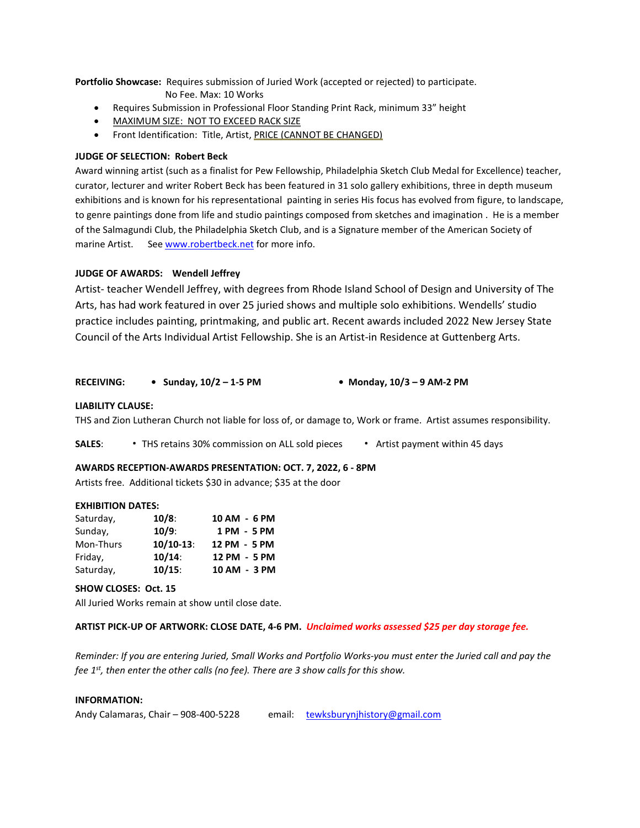**Portfolio Showcase:** Requires submission of Juried Work (accepted or rejected) to participate.

- No Fee. Max: 10 Works
- Requires Submission in Professional Floor Standing Print Rack, minimum 33" height
- MAXIMUM SIZE: NOT TO EXCEED RACK SIZE
- Front Identification: Title, Artist, PRICE (CANNOT BE CHANGED)

## **JUDGE OF SELECTION: Robert Beck**

Award winning artist (such as a finalist for Pew Fellowship, Philadelphia Sketch Club Medal for Excellence) teacher, curator, lecturer and writer Robert Beck has been featured in 31 solo gallery exhibitions, three in depth museum exhibitions and is known for his representational painting in series His focus has evolved from figure, to landscape, to genre paintings done from life and studio paintings composed from sketches and imagination . He is a member of the Salmagundi Club, the Philadelphia Sketch Club, and is a Signature member of the American Society of marine Artist. See [www.robertbeck.net](http://www.robertbeck.net/) for more info.

## **JUDGE OF AWARDS: Wendell Jeffrey**

Artist- teacher Wendell Jeffrey, with degrees from Rhode Island School of Design and University of The Arts, has had work featured in over 25 juried shows and multiple solo exhibitions. Wendells' studio practice includes painting, printmaking, and public art. Recent awards included 2022 New Jersey State Council of the Arts Individual Artist Fellowship. She is an Artist-in Residence at Guttenberg Arts.

## **RECEIVING: • Sunday, 10/2 – 1-5 PM • Monday, 10/3 – 9 AM-2 PM**

## **LIABILITY CLAUSE:**

THS and Zion Lutheran Church not liable for loss of, or damage to, Work or frame. Artist assumes responsibility.

**SALES**: **.** THS retains 30% commission on ALL sold pieces **.** Artist payment within 45 days

## **AWARDS RECEPTION-AWARDS PRESENTATION: OCT. 7, 2022, 6 - 8PM**

Artists free. Additional tickets \$30 in advance; \$35 at the door

## **EXHIBITION DATES:**

| Saturday, | $10/8$ :     | 10 AM - 6 PM |
|-----------|--------------|--------------|
| Sunday,   | $10/9$ :     | 1 PM - 5 PM  |
| Mon-Thurs | $10/10-13$ : | 12 PM - 5 PM |
| Friday,   | $10/14$ :    | 12 PM - 5 PM |
| Saturday, | $10/15$ :    | 10 AM - 3 PM |

## **SHOW CLOSES: Oct. 15**

All Juried Works remain at show until close date.

## **ARTIST PICK-UP OF ARTWORK: CLOSE DATE, 4-6 PM.** *Unclaimed works assessed \$25 per day storage fee.*

*Reminder: If you are entering Juried, Small Works and Portfolio Works-you must enter the Juried call and pay the fee 1st, then enter the other calls (no fee). There are 3 show calls for this show.* 

## **INFORMATION:**

| Andy Calamaras, Chair - 908-400-5228 |  | email: tewksburynjhistory@gmail.com |
|--------------------------------------|--|-------------------------------------|
|--------------------------------------|--|-------------------------------------|